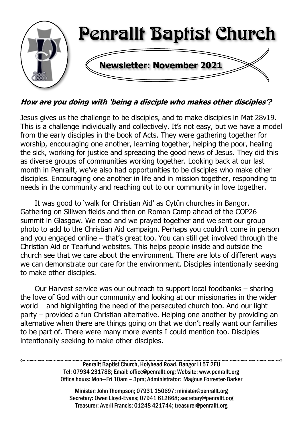

How are you doing with 'being a disciple who makes other disciples'?

Jesus gives us the challenge to be disciples, and to make disciples in Mat 28v19. This is a challenge individually and collectively. It's not easy, but we have a model from the early disciples in the book of Acts. They were gathering together for worship, encouraging one another, learning together, helping the poor, healing the sick, working for justice and spreading the good news of Jesus. They did this as diverse groups of communities working together. Looking back at our last month in Penrallt, we've also had opportunities to be disciples who make other disciples. Encouraging one another in life and in mission together, responding to needs in the community and reaching out to our community in love together.

It was good to 'walk for Christian Aid' as Cytûn churches in Bangor. Gathering on Siliwen fields and then on Roman Camp ahead of the COP26 summit in Glasgow. We read and we prayed together and we sent our group photo to add to the Christian Aid campaign. Perhaps you couldn't come in person and you engaged online – that's great too. You can still get involved through the Christian Aid or Tearfund websites. This helps people inside and outside the church see that we care about the environment. There are lots of different ways we can demonstrate our care for the environment. Disciples intentionally seeking to make other disciples.

Our Harvest service was our outreach to support local foodbanks – sharing the love of God with our community and looking at our missionaries in the wider world – and highlighting the need of the persecuted church too. And our light party – provided a fun Christian alternative. Helping one another by providing an alternative when there are things going on that we don't really want our families to be part of. There were many more events I could mention too. Disciples intentionally seeking to make other disciples.

> Penrallt Baptist Church, Holyhead Road, Bangor LL57 2EU Tel: 07934 231788; Email: office@penrallt.org; Website: www.penrallt.org Office hours: Mon—Fri 10am – 3pm; Administrator: Magnus Forrester-Barker

Minister: John Thompson; 07931 150697; minister@penrallt.org Secretary: Owen Lloyd-Evans; 07941 612868; secretary@penrallt.org Treasurer: Averil Francis; 01248 421744; treasurer@penrallt.org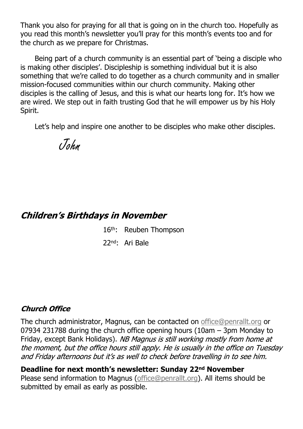Thank you also for praying for all that is going on in the church too. Hopefully as you read this month's newsletter you'll pray for this month's events too and for the church as we prepare for Christmas.

Being part of a church community is an essential part of 'being a disciple who is making other disciples'. Discipleship is something individual but it is also something that we're called to do together as a church community and in smaller mission-focused communities within our church community. Making other disciples is the calling of Jesus, and this is what our hearts long for. It's how we are wired. We step out in faith trusting God that he will empower us by his Holy Spirit.

Let's help and inspire one another to be disciples who make other disciples.



### **Children's Birthdays in November**

16th: Reuben Thompson

22nd: Ari Bale

#### **Church Office**

The church administrator, Magnus, can be contacted on [office@penrallt.org](mailto:office@penrallt.org) or 07934 231788 during the church office opening hours (10am – 3pm Monday to Friday, except Bank Holidays). NB Magnus is still working mostly from home at the moment, but the office hours still apply. He is usually in the office on Tuesday and Friday afternoons but it's as well to check before travelling in to see him.

**Deadline for next month's newsletter: Sunday 22nd November** Please send information to Magnus [\(office@penrallt.org\)](mailto:office@penrallt.org). All items should be submitted by email as early as possible.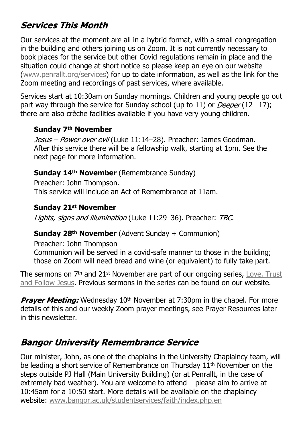# **Services This Month**

Our services at the moment are all in a hybrid format, with a small congregation in the building and others joining us on Zoom. It is not currently necessary to book places for the service but other Covid regulations remain in place and the situation could change at short notice so please keep an eye on our website [\(www.penrallt.org/services\)](https://www.penrallt.org/services/index.php) for up to date information, as well as the link for the Zoom meeting and recordings of past services, where available.

Services start at 10:30am on Sunday mornings. Children and young people go out part way through the service for Sunday school (up to 11) or *Deeper* (12 –17); there are also crèche facilities available if you have very young children.

#### **Sunday 7th November**

Jesus - Power over evil (Luke 11:14-28). Preacher: James Goodman. After this service there will be a fellowship walk, starting at 1pm. See the next page for more information.

#### **Sunday 14th November** (Remembrance Sunday)

Preacher: John Thompson. This service will include an Act of Remembrance at 11am.

#### **Sunday 21st November**

Lights, signs and illumination (Luke 11:29-36). Preacher: TBC.

#### **Sunday 28th November** (Advent Sunday + Communion)

Preacher: John Thompson

Communion will be served in a covid-safe manner to those in the building; those on Zoom will need bread and wine (or equivalent) to fully take part.

The sermons on  $7<sup>th</sup>$  and  $21<sup>st</sup>$  November are part of our ongoing series, [Love, Trust](https://www.penrallt.org/sermons/series.php?sid=BAC) [and Follow Jesus.](https://www.penrallt.org/sermons/series.php?sid=BAC) Previous sermons in the series can be found on our website.

**Prayer Meeting:** Wednesday 10<sup>th</sup> November at 7:30pm in the chapel. For more details of this and our weekly Zoom prayer meetings, see Prayer Resources later in this newsletter.

## **Bangor University Remembrance Service**

Our minister, John, as one of the chaplains in the University Chaplaincy team, will be leading a short service of Remembrance on Thursday 11<sup>th</sup> November on the steps outside PJ Hall (Main University Building) (or at Penrallt, in the case of extremely bad weather). You are welcome to attend – please aim to arrive at 10:45am for a 10:50 start. More details will be available on the chaplaincy website: [www.bangor.ac.uk/studentservices/faith/index.php.en](https://www.bangor.ac.uk/studentservices/faith/index.php.en)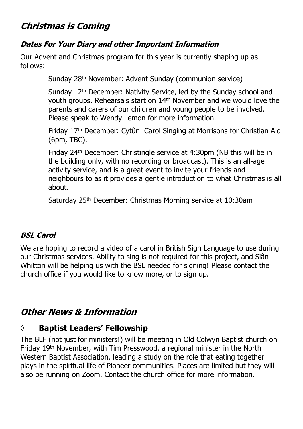### **Christmas is Coming**

#### **Dates For Your Diary and other Important Information**

Our Advent and Christmas program for this year is currently shaping up as follows:

Sunday 28th November: Advent Sunday (communion service)

Sunday 12<sup>th</sup> December: Nativity Service, led by the Sunday school and youth groups. Rehearsals start on 14<sup>th</sup> November and we would love the parents and carers of our children and young people to be involved. Please speak to Wendy Lemon for more information.

Friday 17th December: Cytûn Carol Singing at Morrisons for Christian Aid (6pm, TBC).

Friday 24th December: Christingle service at 4:30pm (NB this will be in the building only, with no recording or broadcast). This is an all-age activity service, and is a great event to invite your friends and neighbours to as it provides a gentle introduction to what Christmas is all about.

Saturday 25th December: Christmas Morning service at 10:30am

#### **BSL Carol**

We are hoping to record a video of a carol in British Sign Language to use during our Christmas services. Ability to sing is not required for this project, and Siân Whitton will be helping us with the BSL needed for signing! Please contact the church office if you would like to know more, or to sign up.

### **Other News & Information**

#### **◊ Baptist Leaders' Fellowship**

The BLF (not just for ministers!) will be meeting in Old Colwyn Baptist church on Friday 19<sup>th</sup> November, with Tim Presswood, a regional minister in the North Western Baptist Association, leading a study on the role that eating together plays in the spiritual life of Pioneer communities. Places are limited but they will also be running on Zoom. Contact the church office for more information.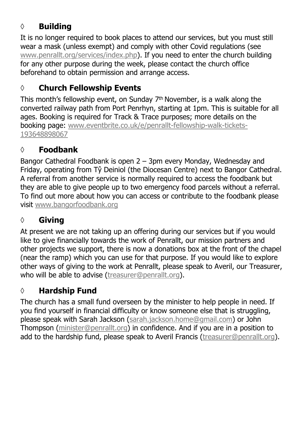## **◊ Building**

It is no longer required to book places to attend our services, but you must still wear a mask (unless exempt) and comply with other Covid regulations (see [www.penrallt.org/services/index.php](https://www.penrallt.org/services/index.php)). If you need to enter the church building for any other purpose during the week, please contact the church office beforehand to obtain permission and arrange access.

### **◊ Church Fellowship Events**

This month's fellowship event, on Sunday 7th November, is a walk along the converted railway path from Port Penrhyn, starting at 1pm. This is suitable for all ages. Booking is required for Track & Trace purposes; more details on the booking page: [www.eventbrite.co.uk/e/penrallt-fellowship-walk-tickets-](https://www.eventbrite.co.uk/e/penrallt-fellowship-walk-tickets-193648898067)[193648898067](https://www.eventbrite.co.uk/e/penrallt-fellowship-walk-tickets-193648898067)

## **◊ Foodbank**

Bangor Cathedral Foodbank is open 2 – 3pm every Monday, Wednesday and Friday, operating from Tŷ Deiniol (the Diocesan Centre) next to Bangor Cathedral. A referral from another service is normally required to access the foodbank but they are able to give people up to two emergency food parcels without a referral. To find out more about how you can access or contribute to the foodbank please visit [www.bangorfoodbank.org](https://www.bangorfoodbank.org)

# **◊ Giving**

At present we are not taking up an offering during our services but if you would like to give financially towards the work of Penrallt, our mission partners and other projects we support, there is now a donations box at the front of the chapel (near the ramp) which you can use for that purpose. If you would like to explore other ways of giving to the work at Penrallt, please speak to Averil, our Treasurer, who will be able to advise [\(treasurer@penrallt.org\)](mailto:treasurer@penrallt.org).

# **◊ Hardship Fund**

The church has a small fund overseen by the minister to help people in need. If you find yourself in financial difficulty or know someone else that is struggling, please speak with Sarah Jackson ([sarah.jackson.home@gmail.com](mailto:sarah.jackson.home@gmail.com)) or John Thompson ([minister@penrallt.org\)](mailto:minister@penrallt.org) in confidence. And if you are in a position to add to the hardship fund, please speak to Averil Francis ([treasurer@penrallt.org\)](mailto:treasurer@penrallt.org).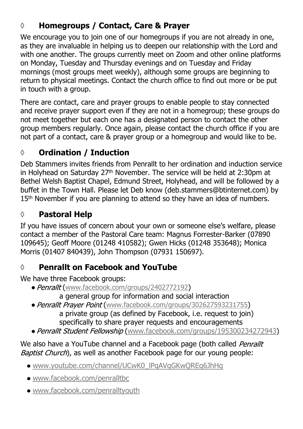## **◊ Homegroups / Contact, Care & Prayer**

We encourage you to join one of our homegroups if you are not already in one, as they are invaluable in helping us to deepen our relationship with the Lord and with one another. The groups currently meet on Zoom and other online platforms on Monday, Tuesday and Thursday evenings and on Tuesday and Friday mornings (most groups meet weekly), although some groups are beginning to return to physical meetings. Contact the church office to find out more or be put in touch with a group.

There are contact, care and prayer groups to enable people to stay connected and receive prayer support even if they are not in a homegroup; these groups do not meet together but each one has a designated person to contact the other group members regularly. Once again, please contact the church office if you are not part of a contact, care & prayer group or a homegroup and would like to be.

# **◊ Ordination / Induction**

Deb Stammers invites friends from Penrallt to her ordination and induction service in Holyhead on Saturday 27th November. The service will be held at 2:30pm at Bethel Welsh Baptist Chapel, Edmund Street, Holyhead, and will be followed by a buffet in the Town Hall. Please let Deb know (deb.stammers@btinternet.com) by 15<sup>th</sup> November if you are planning to attend so they have an idea of numbers.

# **◊ Pastoral Help**

If you have issues of concern about your own or someone else's welfare, please contact a member of the Pastoral Care team: Magnus Forrester-Barker (07890 109645); Geoff Moore (01248 410582); Gwen Hicks (01248 353648); Monica Morris (01407 840439), John Thompson (07931 150697).

## **◊ Penrallt on Facebook and YouTube**

We have three Facebook groups:

- Penrallt ([www.facebook.com/groups/2402772192](https://www.facebook.com/groups/2402772192))
	- a general group for information and social interaction
- Penrallt Prayer Point ([www.facebook.com/groups/302627593231755](https://www.facebook.com/groups/302627593231755))

 a private group (as defined by Facebook, i.e. request to join) specifically to share prayer requests and encouragements

• Penrallt Student Fellowship ([www.facebook.com/groups/195300234272943](https://www.facebook.com/groups/195300234272943))

We also have a YouTube channel and a Facebook page (both called Penrallt Baptist Church), as well as another Facebook page for our young people:

- [www.youtube.com/channel/UCwK0\\_lPqAVqGKwQREg6JhHg](https://www.youtube.com/channel/UCwK0_lPqAVqGKwQREg6JhHg)
- [www.facebook.com/penralltbc](https://www.facebook.com/penralltbc)
- [www.facebook.com/penralltyouth](https://www.facebook.com/penralltyouth)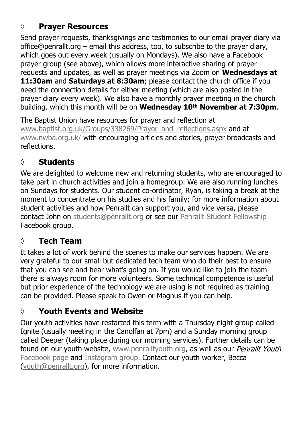### **◊ Prayer Resources**

Send prayer requests, thanksgivings and testimonies to our email prayer diary via office@penrallt.org – email this address, too, to subscribe to the prayer diary, which goes out every week (usually on Mondays). We also have a Facebook prayer group (see above), which allows more interactive sharing of prayer requests and updates, as well as prayer meetings via Zoom on **Wednesdays at 11:30am** and **Saturdays at 8:30am**; please contact the church office if you need the connection details for either meeting (which are also posted in the prayer diary every week). We also have a monthly prayer meeting in the church building. which this month will be on **Wednesday 10th November at 7:30pm**.

The Baptist Union have resources for prayer and reflection at [www.baptist.org.uk/Groups/338269/Prayer\\_and\\_reflections.aspx](https://www.baptist.org.uk/Groups/338269/Prayer_and_reflections.aspx) and at [www.nwba.org.uk/](http://www.nwba.org.uk/) with encouraging articles and stories, prayer broadcasts and reflections.

### **◊ Students**

We are delighted to welcome new and returning students, who are encouraged to take part in church activities and join a homegroup. We are also running lunches on Sundays for students. Our student co-ordinator, Ryan, is taking a break at the moment to concentrate on his studies and his family; for more information about student activities and how Penrallt can support you, and vice versa, please contact John on [students@penrallt.org](mailto:students@penrallt.org) or see our [Penrallt Student Fellowship](https://www.facebook.com/groups/195300234272943) Facebook group.

### **◊ Tech Team**

It takes a lot of work behind the scenes to make our services happen. We are very grateful to our small but dedicated tech team who do their best to ensure that you can see and hear what's going on. If you would like to join the team there is always room for more volunteers. Some technical competence is useful but prior experience of the technology we are using is not required as training can be provided. Please speak to Owen or Magnus if you can help.

## **◊ Youth Events and Website**

Our youth activities have restarted this term with a Thursday night group called Ignite (usually meeting in the Canolfan at 7pm) and a Sunday morning group called Deeper (taking place during our morning services). Further details can be found on our youth website, [www.penralltyouth.org](https://www.penralltyouth.org/), as well as our Penrallt Youth [Facebook page](https://www.facebook.com/penralltyouth) and [Instagram group](https://www.instagram.com/penralltyouth/). Contact our youth worker, Becca [\(youth@penrallt.org\)](mailto:youth@penrallt.org), for more information.